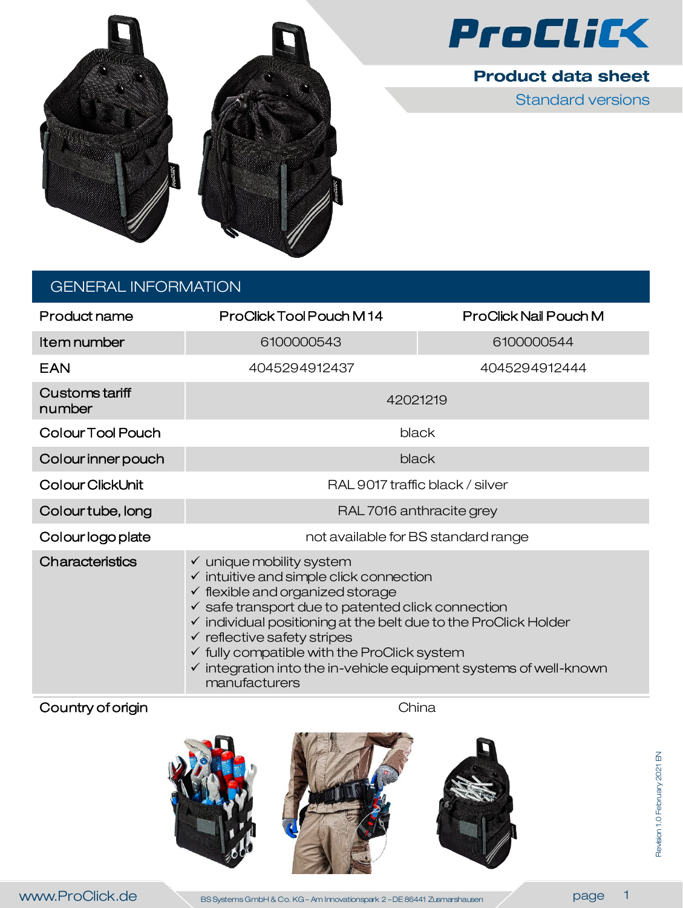



**Product data sheet** 

Standard versions

## GENERAL INFORMATION

| Product name             | ProClick Tool Pouch M14                                                                                                                                                                                                                                                                                                                                                                                                                                                                     | ProClick Nail Pouch M |  |
|--------------------------|---------------------------------------------------------------------------------------------------------------------------------------------------------------------------------------------------------------------------------------------------------------------------------------------------------------------------------------------------------------------------------------------------------------------------------------------------------------------------------------------|-----------------------|--|
| Item number              | 6100000543                                                                                                                                                                                                                                                                                                                                                                                                                                                                                  | 6100000544            |  |
| EAN                      | 4045294912437                                                                                                                                                                                                                                                                                                                                                                                                                                                                               | 4045294912444         |  |
| Customs tariff<br>number | 42021219                                                                                                                                                                                                                                                                                                                                                                                                                                                                                    |                       |  |
| Colour Tool Pouch        | black                                                                                                                                                                                                                                                                                                                                                                                                                                                                                       |                       |  |
| Colour inner pouch       | black                                                                                                                                                                                                                                                                                                                                                                                                                                                                                       |                       |  |
| Colour ClickUnit         | RAL 9017 traffic black / silver                                                                                                                                                                                                                                                                                                                                                                                                                                                             |                       |  |
| Colour tube, long        | RAL 7016 anthracite grey                                                                                                                                                                                                                                                                                                                                                                                                                                                                    |                       |  |
| Colour logo plate        | not available for BS standard range                                                                                                                                                                                                                                                                                                                                                                                                                                                         |                       |  |
| Characteristics          | $\checkmark$ unique mobility system<br>$\checkmark$ intuitive and simple click connection<br>$\checkmark$ flexible and organized storage<br>$\checkmark$ safe transport due to patented click connection<br>$\checkmark$ individual positioning at the belt due to the ProClick Holder<br>$\checkmark$ reflective safety stripes<br>$\checkmark$ fully compatible with the ProClick system<br>$\checkmark$ integration into the in-vehicle equipment systems of well-known<br>manufacturers |                       |  |

### Country of origin **China** China

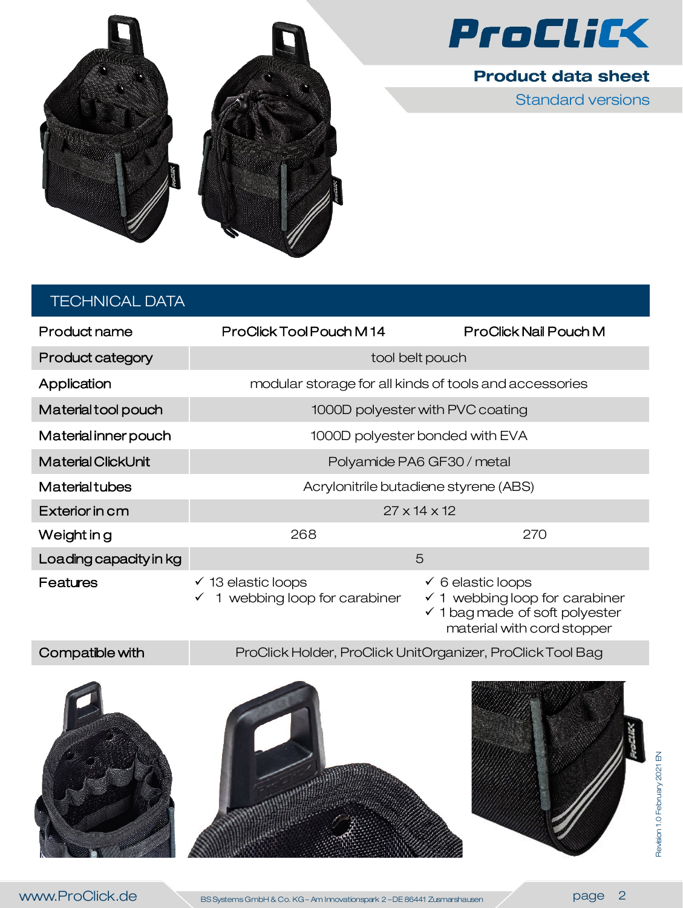

**Product data sheet** 

Standard versions



# TECHNICAL DATA

| Product name              | ProClick Tool Pouch M14                                     | ProClick Nail Pouch M                                                                                              |
|---------------------------|-------------------------------------------------------------|--------------------------------------------------------------------------------------------------------------------|
| <b>Product category</b>   | tool belt pouch                                             |                                                                                                                    |
| Application               | modular storage for all kinds of tools and accessories      |                                                                                                                    |
| Material tool pouch       | 1000D polyester with PVC coating                            |                                                                                                                    |
| Material inner pouch      | 1000D polyester bonded with EVA                             |                                                                                                                    |
| <b>Material ClickUnit</b> | Polyamide PA6 GF30 / metal                                  |                                                                                                                    |
| <b>Material tubes</b>     | Acrylonitrile butadiene styrene (ABS)                       |                                                                                                                    |
| Exterior in cm            | $27 \times 14 \times 12$                                    |                                                                                                                    |
| Weight in g               | 268                                                         | 270                                                                                                                |
| Loading capacity in kg    | 5                                                           |                                                                                                                    |
| Features                  | $\checkmark$ 13 elastic loops<br>webbing loop for carabiner | $\checkmark$ 6 elastic loops<br>$\checkmark$ 1 webbing loop for carabiner<br>$\sqrt{1}$ had made of soft polyester |

 1 bag made of soft polyester material with cord stopper

Compatible with ProClick Holder, ProClick UnitOrganizer, ProClick Tool Bag